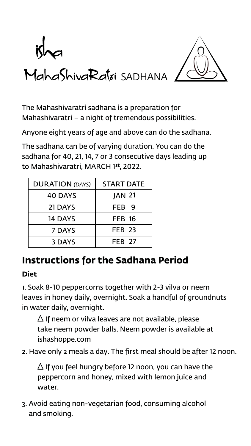

The Mahashivaratri sadhana is a preparation for Mahashivaratri – a night of tremendous possibilities.

Anyone eight years of age and above can do the sadhana.

The sadhana can be of varying duration. You can do the sadhana for 40, 21, 14, 7 or 3 consecutive days leading up to Mahashivaratri, MARCH 1<mark>st</mark>, 2022.

| <b>DURATION (DAYS)</b> | START DATE       |
|------------------------|------------------|
| 40 DAYS                | <b>JAN 21</b>    |
| 21 DAYS                | FEB <sub>9</sub> |
| 14 DAYS                | <b>FEB 16</b>    |
| 7 DAYS                 | <b>FEB 23</b>    |
| 3 DAYS                 | <b>FFR 27</b>    |

## **Instructions for the Sadhana Period**

#### **Diet**

1. Soak 8-10 peppercorns together with 2-3 vilva or neem leaves in honey daily, overnight. Soak a handful of groundnuts in water daily, overnight.

 $\Delta$  If neem or vilva leaves are not available, please take neem powder balls. Neem powder is available at ishashoppe.com

2. Have only 2 meals a day. The first meal should be after 12 noon.

 $\Delta$  If you feel hungry before 12 noon, you can have the peppercorn and honey, mixed with lemon juice and water.

3. Avoid eating non-vegetarian food, consuming alcohol and smoking.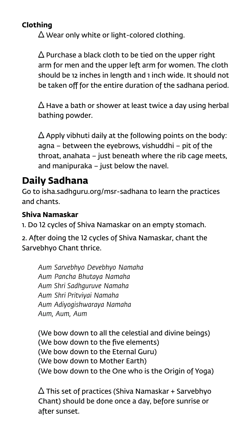### **Clothing**

 $\Delta$  Wear only white or light-colored clothing.

 $\Delta$  Purchase a black cloth to be tied on the upper right arm for men and the upper left arm for women. The cloth should be 12 inches in length and 1 inch wide. It should not be taken off for the entire duration of the sadhana period.

 $\Delta$  Have a bath or shower at least twice a day using herbal bathing powder.

 $\Delta$  Apply vibhuti daily at the following points on the body: agna – between the eyebrows, vishuddhi – pit of the throat, anahata – just beneath where the rib cage meets, and manipuraka – just below the navel.

### **Daily Sadhana**

Go to isha.sadhguru.org/msr-sadhana to learn the practices and chants.

#### **Shiva Namaskar**

1. Do 12 cycles of Shiva Namaskar on an empty stomach.

2. After doing the 12 cycles of Shiva Namaskar, chant the Sarvebhyo Chant thrice.

*Aum Sarvebhyo Devebhyo Namaha Aum Pancha Bhutaya Namaha Aum Shri Sadhguruve Namaha Aum Shri Pritviyai Namaha Aum Adiyogishwaraya Namaha Aum, Aum, Aum*

(We bow down to all the celestial and divine beings) (We bow down to the five elements) (We bow down to the Eternal Guru) (We bow down to Mother Earth) (We bow down to the One who is the Origin of Yoga)

 $\Delta$  This set of practices (Shiva Namaskar + Sarvebhyo Chant) should be done once a day, before sunrise or after sunset.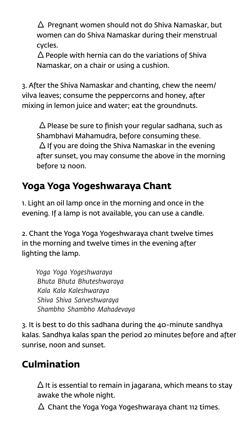$\Delta$  Pregnant women should not do Shiva Namaskar, but women can do Shiva Namaskar during their menstrual cycles.

 $\Delta$  People with hernia can do the variations of Shiva Namaskar, on a chair or using a cushion.

3. After the Shiva Namaskar and chanting, chew the neem/ vilva leaves; consume the peppercorns and honey, after mixing in lemon juice and water; eat the groundnuts.

 $\Delta$  Please be sure to finish your regular sadhana, such as Shambhavi Mahamudra, before consuming these.  $\Delta$  If you are doing the Shiva Namaskar in the evening after sunset, you may consume the above in the morning before 12 noon.

# **Yoga Yoga Yogeshwaraya Chant**

1. Light an oil lamp once in the morning and once in the evening. If a lamp is not available, you can use a candle.

2. Chant the Yoga Yoga Yogeshwaraya chant twelve times in the morning and twelve times in the evening after lighting the lamp.

*Yoga Yoga Yogeshwaraya Bhuta Bhuta Bhuteshwaraya Kala Kala Kaleshwaraya Shiva Shiva Sarveshwaraya Shambho Shambho Mahadevaya* 

3. It is best to do this sadhana during the 40-minute sandhya kalas. Sandhya kalas span the period 20 minutes before and after sunrise, noon and sunset.

# **Culmination**

 $\Delta$  It is essential to remain in jagarana, which means to stay awake the whole night.

 $\Delta$  Chant the Yoga Yoga Yogeshwaraya chant 112 times.